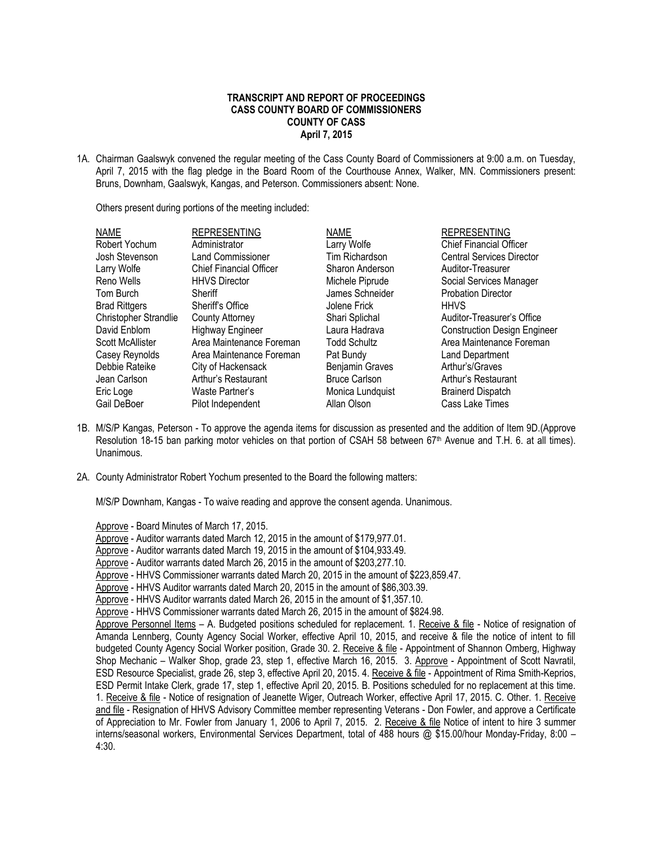### **TRANSCRIPT AND REPORT OF PROCEEDINGS CASS COUNTY BOARD OF COMMISSIONERS COUNTY OF CASS April 7, 2015**

1A. Chairman Gaalswyk convened the regular meeting of the Cass County Board of Commissioners at 9:00 a.m. on Tuesday, April 7, 2015 with the flag pledge in the Board Room of the Courthouse Annex, Walker, MN. Commissioners present: Bruns, Downham, Gaalswyk, Kangas, and Peterson. Commissioners absent: None.

Others present during portions of the meeting included:

| <b>NAME</b>             | <b>REPRESENTING</b>            | <b>NAME</b>          | <b>REPRESENTING</b>                 |
|-------------------------|--------------------------------|----------------------|-------------------------------------|
| Robert Yochum           | Administrator                  | Larry Wolfe          | <b>Chief Financial Officer</b>      |
| Josh Stevenson          | <b>Land Commissioner</b>       | Tim Richardson       | <b>Central Services Director</b>    |
| Larry Wolfe             | <b>Chief Financial Officer</b> | Sharon Anderson      | Auditor-Treasurer                   |
| Reno Wells              | <b>HHVS Director</b>           | Michele Piprude      | Social Services Manager             |
| Tom Burch               | Sheriff                        | James Schneider      | <b>Probation Director</b>           |
| <b>Brad Rittgers</b>    | Sheriff's Office               | Jolene Frick         | <b>HHVS</b>                         |
| Christopher Strandlie   | County Attorney                | Shari Splichal       | Auditor-Treasurer's Office          |
| David Enblom            | <b>Highway Engineer</b>        | Laura Hadrava        | <b>Construction Design Engineer</b> |
| <b>Scott McAllister</b> | Area Maintenance Foreman       | <b>Todd Schultz</b>  | Area Maintenance Foreman            |
| Casey Reynolds          | Area Maintenance Foreman       | Pat Bundy            | <b>Land Department</b>              |
| Debbie Rateike          | City of Hackensack             | Benjamin Graves      | Arthur's/Graves                     |
| Jean Carlson            | Arthur's Restaurant            | <b>Bruce Carlson</b> | Arthur's Restaurant                 |
| Eric Loge               | Waste Partner's                | Monica Lundquist     | <b>Brainerd Dispatch</b>            |
| Gail DeBoer             | Pilot Independent              | Allan Olson          | Cass Lake Times                     |

- 1B. M/S/P Kangas, Peterson To approve the agenda items for discussion as presented and the addition of Item 9D.(Approve Resolution 18-15 ban parking motor vehicles on that portion of CSAH 58 between 67th Avenue and T.H. 6. at all times). Unanimous.
- 2A. County Administrator Robert Yochum presented to the Board the following matters:

M/S/P Downham, Kangas - To waive reading and approve the consent agenda. Unanimous.

Approve - Board Minutes of March 17, 2015.

Approve - Auditor warrants dated March 12, 2015 in the amount of \$179,977.01.

Approve - Auditor warrants dated March 19, 2015 in the amount of \$104,933.49.

Approve - Auditor warrants dated March 26, 2015 in the amount of \$203,277.10.

Approve - HHVS Commissioner warrants dated March 20, 2015 in the amount of \$223,859.47.

Approve - HHVS Auditor warrants dated March 20, 2015 in the amount of \$86,303.39.

Approve - HHVS Auditor warrants dated March 26, 2015 in the amount of \$1,357.10.

Approve - HHVS Commissioner warrants dated March 26, 2015 in the amount of \$824.98.

Approve Personnel Items - A. Budgeted positions scheduled for replacement. 1. Receive & file - Notice of resignation of Amanda Lennberg, County Agency Social Worker, effective April 10, 2015, and receive & file the notice of intent to fill budgeted County Agency Social Worker position, Grade 30. 2. Receive & file - Appointment of Shannon Omberg, Highway Shop Mechanic – Walker Shop, grade 23, step 1, effective March 16, 2015. 3. Approve - Appointment of Scott Navratil, ESD Resource Specialist, grade 26, step 3, effective April 20, 2015. 4. Receive & file - Appointment of Rima Smith-Keprios, ESD Permit Intake Clerk, grade 17, step 1, effective April 20, 2015. B. Positions scheduled for no replacement at this time. 1. Receive & file - Notice of resignation of Jeanette Wiger, Outreach Worker, effective April 17, 2015. C. Other. 1. Receive and file - Resignation of HHVS Advisory Committee member representing Veterans - Don Fowler, and approve a Certificate of Appreciation to Mr. Fowler from January 1, 2006 to April 7, 2015. 2. Receive & file Notice of intent to hire 3 summer interns/seasonal workers, Environmental Services Department, total of 488 hours @ \$15.00/hour Monday-Friday, 8:00 -4:30.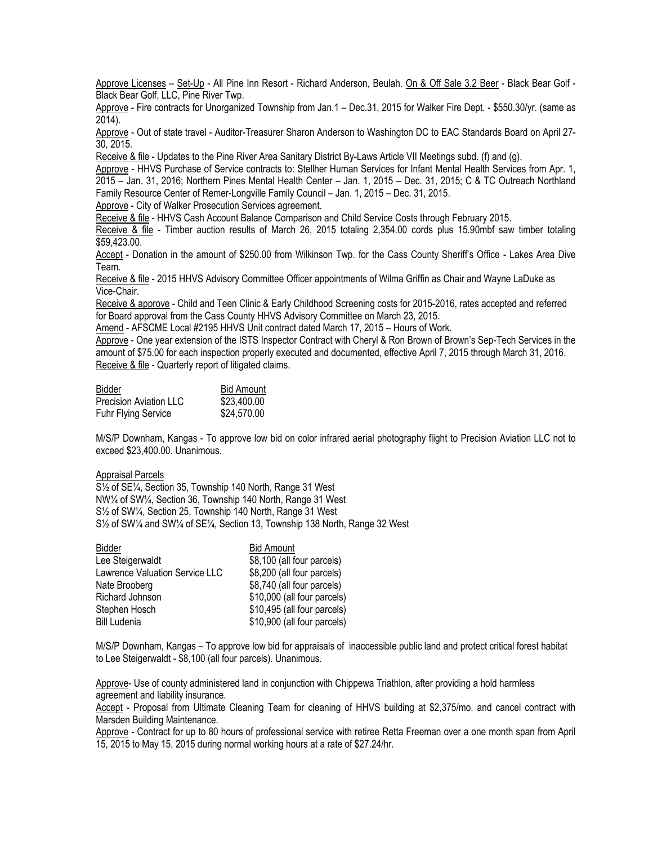Approve Licenses – Set-Up - All Pine Inn Resort - Richard Anderson, Beulah. On & Off Sale 3.2 Beer - Black Bear Golf - Black Bear Golf, LLC, Pine River Twp.

Approve - Fire contracts for Unorganized Township from Jan.1 – Dec.31, 2015 for Walker Fire Dept. - \$550.30/yr. (same as 2014).

Approve - Out of state travel - Auditor-Treasurer Sharon Anderson to Washington DC to EAC Standards Board on April 27- 30, 2015.

Receive & file - Updates to the Pine River Area Sanitary District By-Laws Article VII Meetings subd. (f) and (g).

Approve - HHVS Purchase of Service contracts to: Stellher Human Services for Infant Mental Health Services from Apr. 1, 2015 – Jan. 31, 2016; Northern Pines Mental Health Center – Jan. 1, 2015 – Dec. 31, 2015; C & TC Outreach Northland Family Resource Center of Remer-Longville Family Council – Jan. 1, 2015 – Dec. 31, 2015.

Approve - City of Walker Prosecution Services agreement.

Receive & file - HHVS Cash Account Balance Comparison and Child Service Costs through February 2015.

Receive & file - Timber auction results of March 26, 2015 totaling 2,354.00 cords plus 15.90mbf saw timber totaling \$59,423.00.

Accept - Donation in the amount of \$250.00 from Wilkinson Twp. for the Cass County Sheriff's Office - Lakes Area Dive Team.

Receive & file - 2015 HHVS Advisory Committee Officer appointments of Wilma Griffin as Chair and Wayne LaDuke as Vice-Chair.

Receive & approve - Child and Teen Clinic & Early Childhood Screening costs for 2015-2016, rates accepted and referred for Board approval from the Cass County HHVS Advisory Committee on March 23, 2015.

Amend - AFSCME Local #2195 HHVS Unit contract dated March 17, 2015 – Hours of Work.

Approve - One year extension of the ISTS Inspector Contract with Cheryl & Ron Brown of Brown's Sep-Tech Services in the amount of \$75.00 for each inspection properly executed and documented, effective April 7, 2015 through March 31, 2016. Receive & file - Quarterly report of litigated claims.

| Bidder                        | <b>Bid Amount</b> |
|-------------------------------|-------------------|
| <b>Precision Aviation LLC</b> | \$23,400.00       |
| <b>Fuhr Flying Service</b>    | \$24,570.00       |

M/S/P Downham, Kangas - To approve low bid on color infrared aerial photography flight to Precision Aviation LLC not to exceed \$23,400.00. Unanimous.

### Appraisal Parcels

S½ of SE¼, Section 35, Township 140 North, Range 31 West NW¼ of SW¼, Section 36, Township 140 North, Range 31 West S½ of SW¼, Section 25, Township 140 North, Range 31 West S½ of SW¼ and SW¼ of SE¼, Section 13, Township 138 North, Range 32 West

| Bidder                         | <b>Bid Amount</b>           |
|--------------------------------|-----------------------------|
| Lee Steigerwaldt               | \$8,100 (all four parcels)  |
| Lawrence Valuation Service LLC | \$8,200 (all four parcels)  |
| Nate Brooberg                  | \$8,740 (all four parcels)  |
| Richard Johnson                | \$10,000 (all four parcels) |
| Stephen Hosch                  | \$10,495 (all four parcels) |
| <b>Bill Ludenia</b>            | \$10,900 (all four parcels) |

M/S/P Downham, Kangas – To approve low bid for appraisals of inaccessible public land and protect critical forest habitat to Lee Steigerwaldt - \$8,100 (all four parcels). Unanimous.

Approve- Use of county administered land in conjunction with Chippewa Triathlon, after providing a hold harmless agreement and liability insurance.

 Accept - Proposal from Ultimate Cleaning Team for cleaning of HHVS building at \$2,375/mo. and cancel contract with Marsden Building Maintenance.

Approve - Contract for up to 80 hours of professional service with retiree Retta Freeman over a one month span from April 15, 2015 to May 15, 2015 during normal working hours at a rate of \$27.24/hr.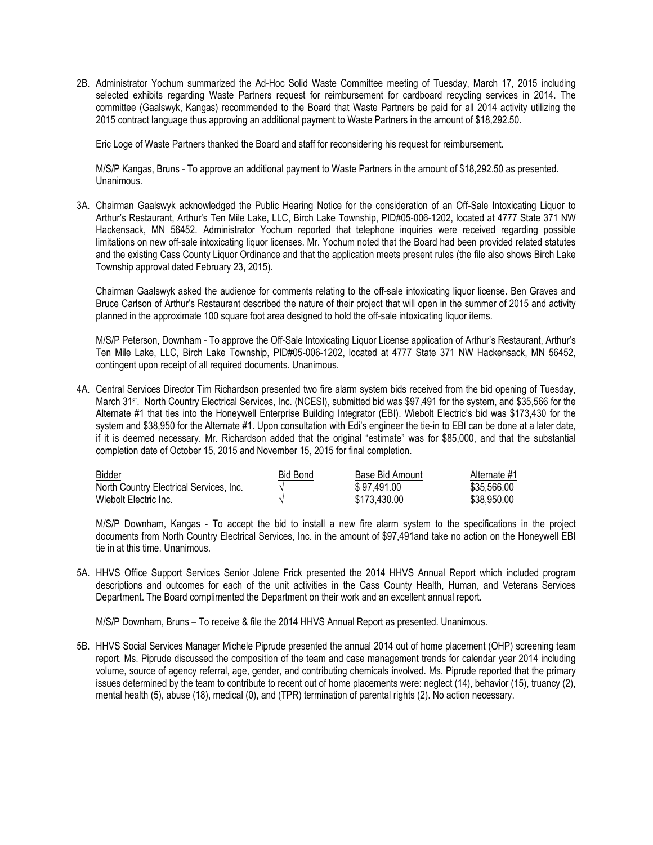2B. Administrator Yochum summarized the Ad-Hoc Solid Waste Committee meeting of Tuesday, March 17, 2015 including selected exhibits regarding Waste Partners request for reimbursement for cardboard recycling services in 2014. The committee (Gaalswyk, Kangas) recommended to the Board that Waste Partners be paid for all 2014 activity utilizing the 2015 contract language thus approving an additional payment to Waste Partners in the amount of \$18,292.50.

Eric Loge of Waste Partners thanked the Board and staff for reconsidering his request for reimbursement.

M/S/P Kangas, Bruns - To approve an additional payment to Waste Partners in the amount of \$18,292.50 as presented. Unanimous.

3A. Chairman Gaalswyk acknowledged the Public Hearing Notice for the consideration of an Off-Sale Intoxicating Liquor to Arthur's Restaurant, Arthur's Ten Mile Lake, LLC, Birch Lake Township, PID#05-006-1202, located at 4777 State 371 NW Hackensack, MN 56452. Administrator Yochum reported that telephone inquiries were received regarding possible limitations on new off-sale intoxicating liquor licenses. Mr. Yochum noted that the Board had been provided related statutes and the existing Cass County Liquor Ordinance and that the application meets present rules (the file also shows Birch Lake Township approval dated February 23, 2015).

Chairman Gaalswyk asked the audience for comments relating to the off-sale intoxicating liquor license. Ben Graves and Bruce Carlson of Arthur's Restaurant described the nature of their project that will open in the summer of 2015 and activity planned in the approximate 100 square foot area designed to hold the off-sale intoxicating liquor items.

M/S/P Peterson, Downham - To approve the Off-Sale Intoxicating Liquor License application of Arthur's Restaurant, Arthur's Ten Mile Lake, LLC, Birch Lake Township, PID#05-006-1202, located at 4777 State 371 NW Hackensack, MN 56452, contingent upon receipt of all required documents. Unanimous.

4A. Central Services Director Tim Richardson presented two fire alarm system bids received from the bid opening of Tuesday, March 31<sup>st</sup>. North Country Electrical Services, Inc. (NCESI), submitted bid was \$97,491 for the system, and \$35,566 for the Alternate #1 that ties into the Honeywell Enterprise Building Integrator (EBI). Wiebolt Electric's bid was \$173,430 for the system and \$38,950 for the Alternate #1. Upon consultation with Edi's engineer the tie-in to EBI can be done at a later date, if it is deemed necessary. Mr. Richardson added that the original "estimate" was for \$85,000, and that the substantial completion date of October 15, 2015 and November 15, 2015 for final completion.

| Bidder                                  | <b>Bid Bond</b> | Base Bid Amount | Alternate #1 |
|-----------------------------------------|-----------------|-----------------|--------------|
| North Country Electrical Services, Inc. |                 | \$97.491.00     | \$35,566.00  |
| Wiebolt Electric Inc.                   |                 | \$173.430.00    | \$38.950.00  |

M/S/P Downham, Kangas - To accept the bid to install a new fire alarm system to the specifications in the project documents from North Country Electrical Services, Inc. in the amount of \$97,491and take no action on the Honeywell EBI tie in at this time. Unanimous.

5A. HHVS Office Support Services Senior Jolene Frick presented the 2014 HHVS Annual Report which included program descriptions and outcomes for each of the unit activities in the Cass County Health, Human, and Veterans Services Department. The Board complimented the Department on their work and an excellent annual report.

M/S/P Downham, Bruns – To receive & file the 2014 HHVS Annual Report as presented. Unanimous.

5B. HHVS Social Services Manager Michele Piprude presented the annual 2014 out of home placement (OHP) screening team report. Ms. Piprude discussed the composition of the team and case management trends for calendar year 2014 including volume, source of agency referral, age, gender, and contributing chemicals involved. Ms. Piprude reported that the primary issues determined by the team to contribute to recent out of home placements were: neglect (14), behavior (15), truancy (2), mental health (5), abuse (18), medical (0), and (TPR) termination of parental rights (2). No action necessary.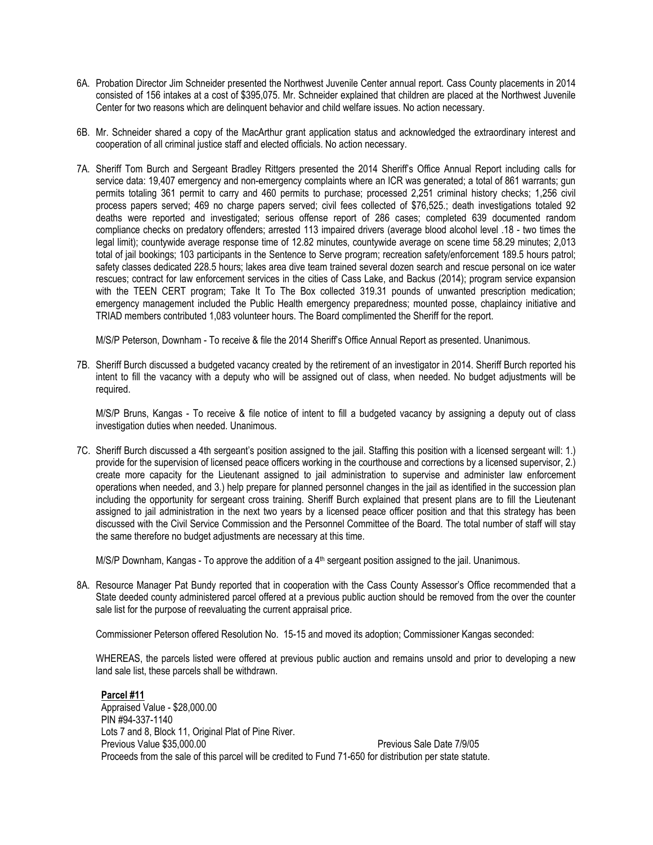- 6A. Probation Director Jim Schneider presented the Northwest Juvenile Center annual report. Cass County placements in 2014 consisted of 156 intakes at a cost of \$395,075. Mr. Schneider explained that children are placed at the Northwest Juvenile Center for two reasons which are delinquent behavior and child welfare issues. No action necessary.
- 6B. Mr. Schneider shared a copy of the MacArthur grant application status and acknowledged the extraordinary interest and cooperation of all criminal justice staff and elected officials. No action necessary.
- 7A. Sheriff Tom Burch and Sergeant Bradley Rittgers presented the 2014 Sheriff's Office Annual Report including calls for service data: 19,407 emergency and non-emergency complaints where an ICR was generated; a total of 861 warrants; gun permits totaling 361 permit to carry and 460 permits to purchase; processed 2,251 criminal history checks; 1,256 civil process papers served; 469 no charge papers served; civil fees collected of \$76,525.; death investigations totaled 92 deaths were reported and investigated; serious offense report of 286 cases; completed 639 documented random compliance checks on predatory offenders; arrested 113 impaired drivers (average blood alcohol level .18 - two times the legal limit); countywide average response time of 12.82 minutes, countywide average on scene time 58.29 minutes; 2,013 total of jail bookings; 103 participants in the Sentence to Serve program; recreation safety/enforcement 189.5 hours patrol; safety classes dedicated 228.5 hours; lakes area dive team trained several dozen search and rescue personal on ice water rescues; contract for law enforcement services in the cities of Cass Lake, and Backus (2014); program service expansion with the TEEN CERT program; Take It To The Box collected 319.31 pounds of unwanted prescription medication; emergency management included the Public Health emergency preparedness; mounted posse, chaplaincy initiative and TRIAD members contributed 1,083 volunteer hours. The Board complimented the Sheriff for the report.

M/S/P Peterson, Downham - To receive & file the 2014 Sheriff's Office Annual Report as presented. Unanimous.

7B. Sheriff Burch discussed a budgeted vacancy created by the retirement of an investigator in 2014. Sheriff Burch reported his intent to fill the vacancy with a deputy who will be assigned out of class, when needed. No budget adjustments will be required.

M/S/P Bruns, Kangas - To receive & file notice of intent to fill a budgeted vacancy by assigning a deputy out of class investigation duties when needed. Unanimous.

7C. Sheriff Burch discussed a 4th sergeant's position assigned to the jail. Staffing this position with a licensed sergeant will: 1.) provide for the supervision of licensed peace officers working in the courthouse and corrections by a licensed supervisor, 2.) create more capacity for the Lieutenant assigned to jail administration to supervise and administer law enforcement operations when needed, and 3.) help prepare for planned personnel changes in the jail as identified in the succession plan including the opportunity for sergeant cross training. Sheriff Burch explained that present plans are to fill the Lieutenant assigned to jail administration in the next two years by a licensed peace officer position and that this strategy has been discussed with the Civil Service Commission and the Personnel Committee of the Board. The total number of staff will stay the same therefore no budget adjustments are necessary at this time.

M/S/P Downham, Kangas - To approve the addition of a 4<sup>th</sup> sergeant position assigned to the jail. Unanimous.

8A. Resource Manager Pat Bundy reported that in cooperation with the Cass County Assessor's Office recommended that a State deeded county administered parcel offered at a previous public auction should be removed from the over the counter sale list for the purpose of reevaluating the current appraisal price.

Commissioner Peterson offered Resolution No. 15-15 and moved its adoption; Commissioner Kangas seconded:

WHEREAS, the parcels listed were offered at previous public auction and remains unsold and prior to developing a new land sale list, these parcels shall be withdrawn.

**Parcel #11** Appraised Value - \$28,000.00 PIN #94-337-1140 Lots 7 and 8, Block 11, Original Plat of Pine River. Previous Value \$35,000.00 Previous Sale Date 7/9/05 Proceeds from the sale of this parcel will be credited to Fund 71-650 for distribution per state statute.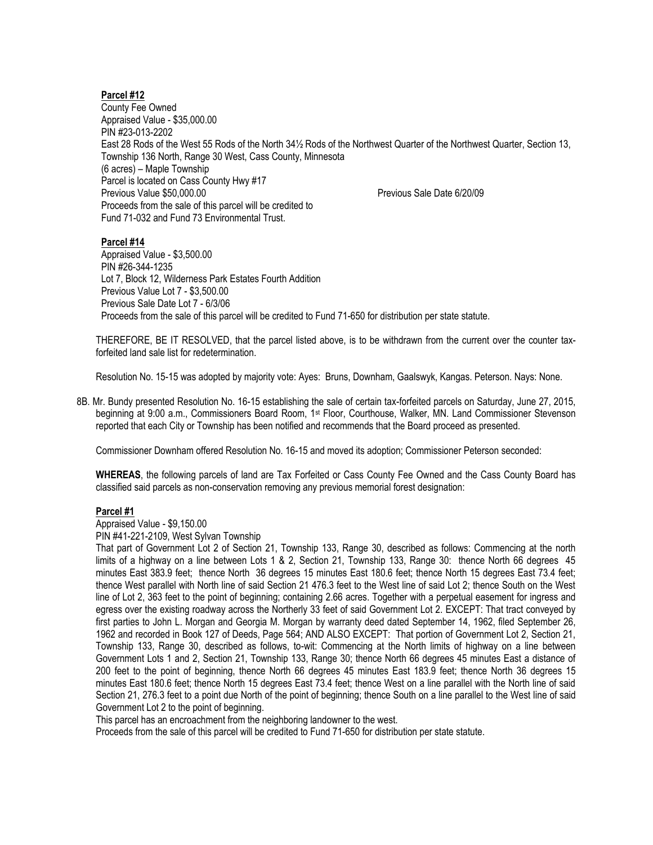### **Parcel #12**

County Fee Owned Appraised Value - \$35,000.00 PIN #23-013-2202 East 28 Rods of the West 55 Rods of the North 34½ Rods of the Northwest Quarter of the Northwest Quarter, Section 13, Township 136 North, Range 30 West, Cass County, Minnesota (6 acres) – Maple Township Parcel is located on Cass County Hwy #17 Previous Value \$50,000.00 Previous Sale Date 6/20/09 Proceeds from the sale of this parcel will be credited to Fund 71-032 and Fund 73 Environmental Trust.

### **Parcel #14**

Appraised Value - \$3,500.00 PIN #26-344-1235 Lot 7, Block 12, Wilderness Park Estates Fourth Addition Previous Value Lot 7 - \$3,500.00 Previous Sale Date Lot 7 - 6/3/06 Proceeds from the sale of this parcel will be credited to Fund 71-650 for distribution per state statute.

THEREFORE, BE IT RESOLVED, that the parcel listed above, is to be withdrawn from the current over the counter taxforfeited land sale list for redetermination.

Resolution No. 15-15 was adopted by majority vote: Ayes: Bruns, Downham, Gaalswyk, Kangas. Peterson. Nays: None.

8B. Mr. Bundy presented Resolution No. 16-15 establishing the sale of certain tax-forfeited parcels on Saturday, June 27, 2015, beginning at 9:00 a.m., Commissioners Board Room, 1st Floor, Courthouse, Walker, MN. Land Commissioner Stevenson reported that each City or Township has been notified and recommends that the Board proceed as presented.

Commissioner Downham offered Resolution No. 16-15 and moved its adoption; Commissioner Peterson seconded:

**WHEREAS**, the following parcels of land are Tax Forfeited or Cass County Fee Owned and the Cass County Board has classified said parcels as non-conservation removing any previous memorial forest designation:

#### **Parcel #1**

Appraised Value - \$9,150.00

PIN #41-221-2109, West Sylvan Township

That part of Government Lot 2 of Section 21, Township 133, Range 30, described as follows: Commencing at the north limits of a highway on a line between Lots 1 & 2, Section 21, Township 133, Range 30: thence North 66 degrees 45 minutes East 383.9 feet; thence North 36 degrees 15 minutes East 180.6 feet; thence North 15 degrees East 73.4 feet; thence West parallel with North line of said Section 21 476.3 feet to the West line of said Lot 2; thence South on the West line of Lot 2, 363 feet to the point of beginning; containing 2.66 acres. Together with a perpetual easement for ingress and egress over the existing roadway across the Northerly 33 feet of said Government Lot 2. EXCEPT: That tract conveyed by first parties to John L. Morgan and Georgia M. Morgan by warranty deed dated September 14, 1962, filed September 26, 1962 and recorded in Book 127 of Deeds, Page 564; AND ALSO EXCEPT: That portion of Government Lot 2, Section 21, Township 133, Range 30, described as follows, to-wit: Commencing at the North limits of highway on a line between Government Lots 1 and 2, Section 21, Township 133, Range 30; thence North 66 degrees 45 minutes East a distance of 200 feet to the point of beginning, thence North 66 degrees 45 minutes East 183.9 feet; thence North 36 degrees 15 minutes East 180.6 feet; thence North 15 degrees East 73.4 feet; thence West on a line parallel with the North line of said Section 21, 276.3 feet to a point due North of the point of beginning; thence South on a line parallel to the West line of said Government Lot 2 to the point of beginning.

This parcel has an encroachment from the neighboring landowner to the west.

Proceeds from the sale of this parcel will be credited to Fund 71-650 for distribution per state statute.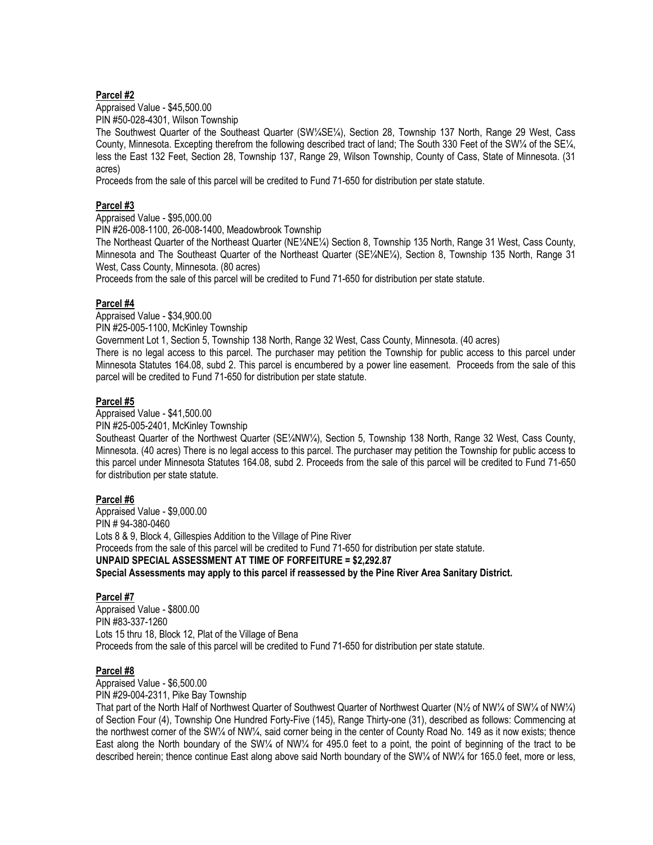#### **Parcel #2**

Appraised Value - \$45,500.00 PIN #50-028-4301, Wilson Township

The Southwest Quarter of the Southeast Quarter (SW¼SE¼), Section 28, Township 137 North, Range 29 West, Cass County, Minnesota. Excepting therefrom the following described tract of land; The South 330 Feet of the SW¼ of the SE¼, less the East 132 Feet, Section 28, Township 137, Range 29, Wilson Township, County of Cass, State of Minnesota. (31 acres)

Proceeds from the sale of this parcel will be credited to Fund 71-650 for distribution per state statute.

# **Parcel #3**

Appraised Value - \$95,000.00

PIN #26-008-1100, 26-008-1400, Meadowbrook Township

The Northeast Quarter of the Northeast Quarter (NE¼NE¼) Section 8, Township 135 North, Range 31 West, Cass County, Minnesota and The Southeast Quarter of the Northeast Quarter (SE¼NE¼), Section 8, Township 135 North, Range 31 West, Cass County, Minnesota. (80 acres)

Proceeds from the sale of this parcel will be credited to Fund 71-650 for distribution per state statute.

### **Parcel #4**

Appraised Value - \$34,900.00

PIN #25-005-1100, McKinley Township

Government Lot 1, Section 5, Township 138 North, Range 32 West, Cass County, Minnesota. (40 acres)

There is no legal access to this parcel. The purchaser may petition the Township for public access to this parcel under Minnesota Statutes 164.08, subd 2. This parcel is encumbered by a power line easement. Proceeds from the sale of this parcel will be credited to Fund 71-650 for distribution per state statute.

# **Parcel #5**

Appraised Value - \$41,500.00

PIN #25-005-2401, McKinley Township

Southeast Quarter of the Northwest Quarter (SE¼NW¼), Section 5, Township 138 North, Range 32 West, Cass County, Minnesota. (40 acres) There is no legal access to this parcel. The purchaser may petition the Township for public access to this parcel under Minnesota Statutes 164.08, subd 2. Proceeds from the sale of this parcel will be credited to Fund 71-650 for distribution per state statute.

### **Parcel #6**

Appraised Value - \$9,000.00 PIN # 94-380-0460 Lots 8 & 9, Block 4, Gillespies Addition to the Village of Pine River Proceeds from the sale of this parcel will be credited to Fund 71-650 for distribution per state statute. **UNPAID SPECIAL ASSESSMENT AT TIME OF FORFEITURE = \$2,292.87 Special Assessments may apply to this parcel if reassessed by the Pine River Area Sanitary District.**

### **Parcel #7**

Appraised Value - \$800.00 PIN #83-337-1260 Lots 15 thru 18, Block 12, Plat of the Village of Bena Proceeds from the sale of this parcel will be credited to Fund 71-650 for distribution per state statute.

### **Parcel #8**

Appraised Value - \$6,500.00 PIN #29-004-2311, Pike Bay Township

That part of the North Half of Northwest Quarter of Southwest Quarter of Northwest Quarter (N1/2 of NW1/4 of SW1/4 of NW1/4) of Section Four (4), Township One Hundred Forty-Five (145), Range Thirty-one (31), described as follows: Commencing at the northwest corner of the SW¼ of NW¼, said corner being in the center of County Road No. 149 as it now exists; thence East along the North boundary of the SW¼ of NW¼ for 495.0 feet to a point, the point of beginning of the tract to be described herein; thence continue East along above said North boundary of the SW1/4 of NW1/4 for 165.0 feet, more or less,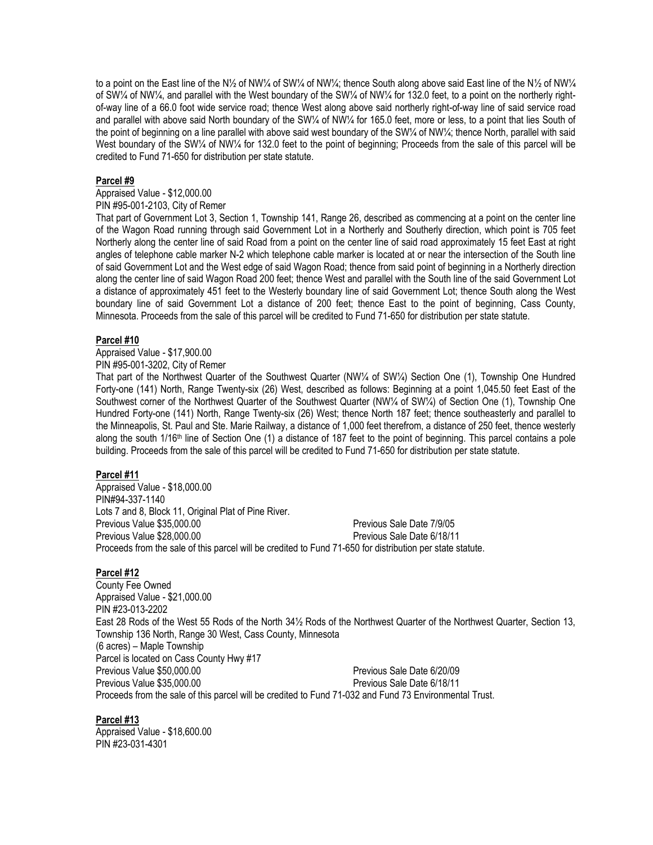to a point on the East line of the N½ of NW¼ of SW¼ of NW¼; thence South along above said East line of the N½ of NW¼ of SW¼ of NW¼, and parallel with the West boundary of the SW¼ of NW¼ for 132.0 feet, to a point on the northerly rightof-way line of a 66.0 foot wide service road; thence West along above said northerly right-of-way line of said service road and parallel with above said North boundary of the SW¼ of NW¼ for 165.0 feet, more or less, to a point that lies South of the point of beginning on a line parallel with above said west boundary of the SW¼ of NW¼; thence North, parallel with said West boundary of the SW¼ of NW¼ for 132.0 feet to the point of beginning; Proceeds from the sale of this parcel will be credited to Fund 71-650 for distribution per state statute.

#### **Parcel #9**

# Appraised Value - \$12,000.00

PIN #95-001-2103, City of Remer

That part of Government Lot 3, Section 1, Township 141, Range 26, described as commencing at a point on the center line of the Wagon Road running through said Government Lot in a Northerly and Southerly direction, which point is 705 feet Northerly along the center line of said Road from a point on the center line of said road approximately 15 feet East at right angles of telephone cable marker N-2 which telephone cable marker is located at or near the intersection of the South line of said Government Lot and the West edge of said Wagon Road; thence from said point of beginning in a Northerly direction along the center line of said Wagon Road 200 feet; thence West and parallel with the South line of the said Government Lot a distance of approximately 451 feet to the Westerly boundary line of said Government Lot; thence South along the West boundary line of said Government Lot a distance of 200 feet; thence East to the point of beginning, Cass County, Minnesota. Proceeds from the sale of this parcel will be credited to Fund 71-650 for distribution per state statute.

#### **Parcel #10**

Appraised Value - \$17,900.00

# PIN #95-001-3202, City of Remer

That part of the Northwest Quarter of the Southwest Quarter (NW¼ of SW¼) Section One (1), Township One Hundred Forty-one (141) North, Range Twenty-six (26) West, described as follows: Beginning at a point 1,045.50 feet East of the Southwest corner of the Northwest Quarter of the Southwest Quarter (NW¼ of SW¼) of Section One (1), Township One Hundred Forty-one (141) North, Range Twenty-six (26) West; thence North 187 feet; thence southeasterly and parallel to the Minneapolis, St. Paul and Ste. Marie Railway, a distance of 1,000 feet therefrom, a distance of 250 feet, thence westerly along the south  $1/16$ <sup>th</sup> line of Section One (1) a distance of 187 feet to the point of beginning. This parcel contains a pole building. Proceeds from the sale of this parcel will be credited to Fund 71-650 for distribution per state statute.

### **Parcel #11**

Appraised Value - \$18,000.00 PIN#94-337-1140 Lots 7 and 8, Block 11, Original Plat of Pine River. Previous Value \$35,000.00 Previous Sale Date 7/9/05 Previous Value \$28,000.00 Previous Sale Date 6/18/11 Proceeds from the sale of this parcel will be credited to Fund 71-650 for distribution per state statute.

### **Parcel #12**

County Fee Owned Appraised Value - \$21,000.00 PIN #23-013-2202 East 28 Rods of the West 55 Rods of the North 34½ Rods of the Northwest Quarter of the Northwest Quarter, Section 13, Township 136 North, Range 30 West, Cass County, Minnesota (6 acres) – Maple Township Parcel is located on Cass County Hwy #17 Previous Value \$50,000.00 Previous Sale Date 6/20/09 Previous Value \$35,000.00 Previous Sale Date 6/18/11 Proceeds from the sale of this parcel will be credited to Fund 71-032 and Fund 73 Environmental Trust.

#### **Parcel #13**

Appraised Value - \$18,600.00 PIN #23-031-4301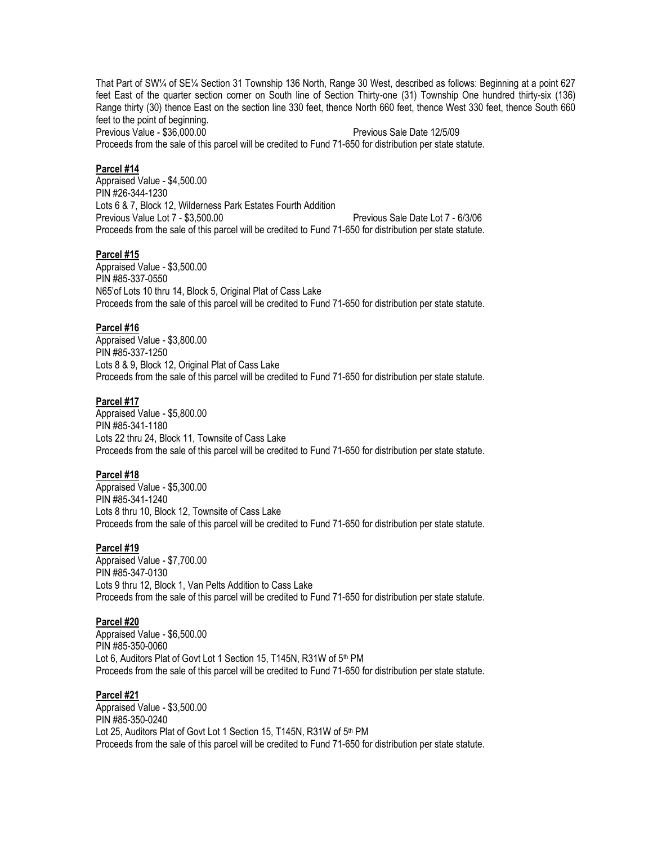That Part of SW¼ of SE¼ Section 31 Township 136 North, Range 30 West, described as follows: Beginning at a point 627 feet East of the quarter section corner on South line of Section Thirty-one (31) Township One hundred thirty-six (136) Range thirty (30) thence East on the section line 330 feet, thence North 660 feet, thence West 330 feet, thence South 660 feet to the point of beginning.

Previous Value - \$36,000.00 Previous Sale Date 12/5/09 Proceeds from the sale of this parcel will be credited to Fund 71-650 for distribution per state statute.

#### **Parcel #14**

Appraised Value - \$4,500.00 PIN #26-344-1230 Lots 6 & 7, Block 12, Wilderness Park Estates Fourth Addition Previous Value Lot 7 - \$3,500.00 Previous Sale Date Lot 7 - 6/3/06 Proceeds from the sale of this parcel will be credited to Fund 71-650 for distribution per state statute.

#### **Parcel #15**

Appraised Value - \$3,500.00 PIN #85-337-0550 N65'of Lots 10 thru 14, Block 5, Original Plat of Cass Lake Proceeds from the sale of this parcel will be credited to Fund 71-650 for distribution per state statute.

#### **Parcel #16**

Appraised Value - \$3,800.00 PIN #85-337-1250 Lots 8 & 9, Block 12, Original Plat of Cass Lake Proceeds from the sale of this parcel will be credited to Fund 71-650 for distribution per state statute.

#### **Parcel #17**

Appraised Value - \$5,800.00 PIN #85-341-1180 Lots 22 thru 24, Block 11, Townsite of Cass Lake Proceeds from the sale of this parcel will be credited to Fund 71-650 for distribution per state statute.

#### **Parcel #18**

Appraised Value - \$5,300.00 PIN #85-341-1240 Lots 8 thru 10, Block 12, Townsite of Cass Lake Proceeds from the sale of this parcel will be credited to Fund 71-650 for distribution per state statute.

#### **Parcel #19**

Appraised Value - \$7,700.00 PIN #85-347-0130 Lots 9 thru 12, Block 1, Van Pelts Addition to Cass Lake Proceeds from the sale of this parcel will be credited to Fund 71-650 for distribution per state statute.

#### **Parcel #20**

Appraised Value - \$6,500.00 PIN #85-350-0060 Lot 6, Auditors Plat of Govt Lot 1 Section 15, T145N, R31W of 5th PM Proceeds from the sale of this parcel will be credited to Fund 71-650 for distribution per state statute.

#### **Parcel #21**

Appraised Value - \$3,500.00 PIN #85-350-0240 Lot 25, Auditors Plat of Govt Lot 1 Section 15, T145N, R31W of 5th PM Proceeds from the sale of this parcel will be credited to Fund 71-650 for distribution per state statute.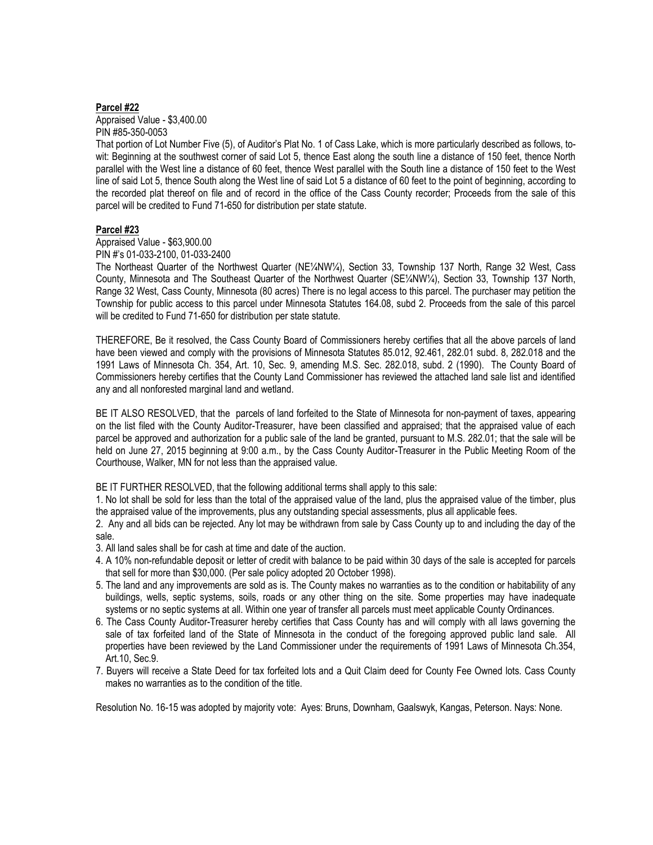## **Parcel #22**

Appraised Value - \$3,400.00 PIN #85-350-0053

That portion of Lot Number Five (5), of Auditor's Plat No. 1 of Cass Lake, which is more particularly described as follows, towit: Beginning at the southwest corner of said Lot 5, thence East along the south line a distance of 150 feet, thence North parallel with the West line a distance of 60 feet, thence West parallel with the South line a distance of 150 feet to the West line of said Lot 5, thence South along the West line of said Lot 5 a distance of 60 feet to the point of beginning, according to the recorded plat thereof on file and of record in the office of the Cass County recorder; Proceeds from the sale of this parcel will be credited to Fund 71-650 for distribution per state statute.

# **Parcel #23**

Appraised Value - \$63,900.00

PIN #'s 01-033-2100, 01-033-2400

The Northeast Quarter of the Northwest Quarter (NE¼NW¼), Section 33, Township 137 North, Range 32 West, Cass County, Minnesota and The Southeast Quarter of the Northwest Quarter (SE¼NW¼), Section 33, Township 137 North, Range 32 West, Cass County, Minnesota (80 acres) There is no legal access to this parcel. The purchaser may petition the Township for public access to this parcel under Minnesota Statutes 164.08, subd 2. Proceeds from the sale of this parcel will be credited to Fund 71-650 for distribution per state statute.

THEREFORE, Be it resolved, the Cass County Board of Commissioners hereby certifies that all the above parcels of land have been viewed and comply with the provisions of Minnesota Statutes 85.012, 92.461, 282.01 subd. 8, 282.018 and the 1991 Laws of Minnesota Ch. 354, Art. 10, Sec. 9, amending M.S. Sec. 282.018, subd. 2 (1990). The County Board of Commissioners hereby certifies that the County Land Commissioner has reviewed the attached land sale list and identified any and all nonforested marginal land and wetland.

BE IT ALSO RESOLVED, that the parcels of land forfeited to the State of Minnesota for non-payment of taxes, appearing on the list filed with the County Auditor-Treasurer, have been classified and appraised; that the appraised value of each parcel be approved and authorization for a public sale of the land be granted, pursuant to M.S. 282.01; that the sale will be held on June 27, 2015 beginning at 9:00 a.m., by the Cass County Auditor-Treasurer in the Public Meeting Room of the Courthouse, Walker, MN for not less than the appraised value.

BE IT FURTHER RESOLVED, that the following additional terms shall apply to this sale:

1. No lot shall be sold for less than the total of the appraised value of the land, plus the appraised value of the timber, plus the appraised value of the improvements, plus any outstanding special assessments, plus all applicable fees.

2. Any and all bids can be rejected. Any lot may be withdrawn from sale by Cass County up to and including the day of the sale.

3. All land sales shall be for cash at time and date of the auction.

- 4. A 10% non-refundable deposit or letter of credit with balance to be paid within 30 days of the sale is accepted for parcels that sell for more than \$30,000. (Per sale policy adopted 20 October 1998).
- 5. The land and any improvements are sold as is. The County makes no warranties as to the condition or habitability of any buildings, wells, septic systems, soils, roads or any other thing on the site. Some properties may have inadequate systems or no septic systems at all. Within one year of transfer all parcels must meet applicable County Ordinances.
- 6. The Cass County Auditor-Treasurer hereby certifies that Cass County has and will comply with all laws governing the sale of tax forfeited land of the State of Minnesota in the conduct of the foregoing approved public land sale. All properties have been reviewed by the Land Commissioner under the requirements of 1991 Laws of Minnesota Ch.354, Art.10, Sec.9.
- 7. Buyers will receive a State Deed for tax forfeited lots and a Quit Claim deed for County Fee Owned lots. Cass County makes no warranties as to the condition of the title.

Resolution No. 16-15 was adopted by majority vote: Ayes: Bruns, Downham, Gaalswyk, Kangas, Peterson. Nays: None.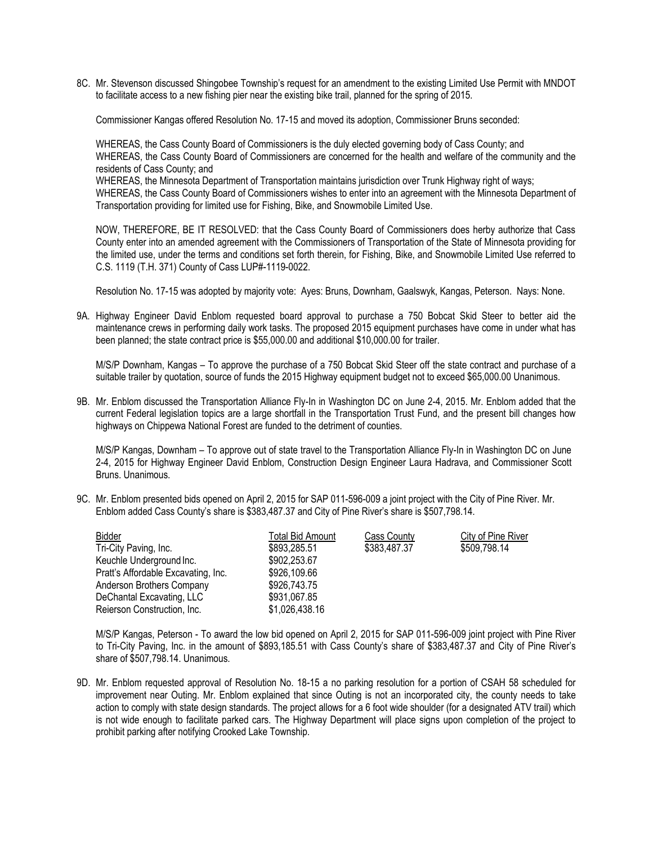8C. Mr. Stevenson discussed Shingobee Township's request for an amendment to the existing Limited Use Permit with MNDOT to facilitate access to a new fishing pier near the existing bike trail, planned for the spring of 2015.

Commissioner Kangas offered Resolution No. 17-15 and moved its adoption, Commissioner Bruns seconded:

WHEREAS, the Cass County Board of Commissioners is the duly elected governing body of Cass County; and WHEREAS, the Cass County Board of Commissioners are concerned for the health and welfare of the community and the residents of Cass County; and

WHEREAS, the Minnesota Department of Transportation maintains jurisdiction over Trunk Highway right of ways; WHEREAS, the Cass County Board of Commissioners wishes to enter into an agreement with the Minnesota Department of

Transportation providing for limited use for Fishing, Bike, and Snowmobile Limited Use.

NOW, THEREFORE, BE IT RESOLVED: that the Cass County Board of Commissioners does herby authorize that Cass County enter into an amended agreement with the Commissioners of Transportation of the State of Minnesota providing for the limited use, under the terms and conditions set forth therein, for Fishing, Bike, and Snowmobile Limited Use referred to C.S. 1119 (T.H. 371) County of Cass LUP#-1119-0022.

Resolution No. 17-15 was adopted by majority vote: Ayes: Bruns, Downham, Gaalswyk, Kangas, Peterson. Nays: None.

9A. Highway Engineer David Enblom requested board approval to purchase a 750 Bobcat Skid Steer to better aid the maintenance crews in performing daily work tasks. The proposed 2015 equipment purchases have come in under what has been planned; the state contract price is \$55,000.00 and additional \$10,000.00 for trailer.

M/S/P Downham, Kangas – To approve the purchase of a 750 Bobcat Skid Steer off the state contract and purchase of a suitable trailer by quotation, source of funds the 2015 Highway equipment budget not to exceed \$65,000.00 Unanimous.

9B. Mr. Enblom discussed the Transportation Alliance Fly-In in Washington DC on June 2-4, 2015. Mr. Enblom added that the current Federal legislation topics are a large shortfall in the Transportation Trust Fund, and the present bill changes how highways on Chippewa National Forest are funded to the detriment of counties.

M/S/P Kangas, Downham – To approve out of state travel to the Transportation Alliance Fly-In in Washington DC on June 2-4, 2015 for Highway Engineer David Enblom, Construction Design Engineer Laura Hadrava, and Commissioner Scott Bruns. Unanimous.

9C. Mr. Enblom presented bids opened on April 2, 2015 for SAP 011-596-009 a joint project with the City of Pine River. Mr. Enblom added Cass County's share is \$383,487.37 and City of Pine River's share is \$507,798.14.

| <b>Bidder</b>                       | Total Bid Amount | Cass County  | City of Pine River |
|-------------------------------------|------------------|--------------|--------------------|
| Tri-City Paving, Inc.               | \$893,285.51     | \$383,487.37 | \$509,798.14       |
| Keuchle Underground Inc.            | \$902,253.67     |              |                    |
| Pratt's Affordable Excavating, Inc. | \$926,109.66     |              |                    |
| Anderson Brothers Company           | \$926,743.75     |              |                    |
| DeChantal Excavating, LLC           | \$931,067.85     |              |                    |
| Reierson Construction, Inc.         | \$1,026,438.16   |              |                    |

M/S/P Kangas, Peterson - To award the low bid opened on April 2, 2015 for SAP 011-596-009 joint project with Pine River to Tri-City Paving, Inc. in the amount of \$893,185.51 with Cass County's share of \$383,487.37 and City of Pine River's share of \$507,798.14. Unanimous.

9D. Mr. Enblom requested approval of Resolution No. 18-15 a no parking resolution for a portion of CSAH 58 scheduled for improvement near Outing. Mr. Enblom explained that since Outing is not an incorporated city, the county needs to take action to comply with state design standards. The project allows for a 6 foot wide shoulder (for a designated ATV trail) which is not wide enough to facilitate parked cars. The Highway Department will place signs upon completion of the project to prohibit parking after notifying Crooked Lake Township.